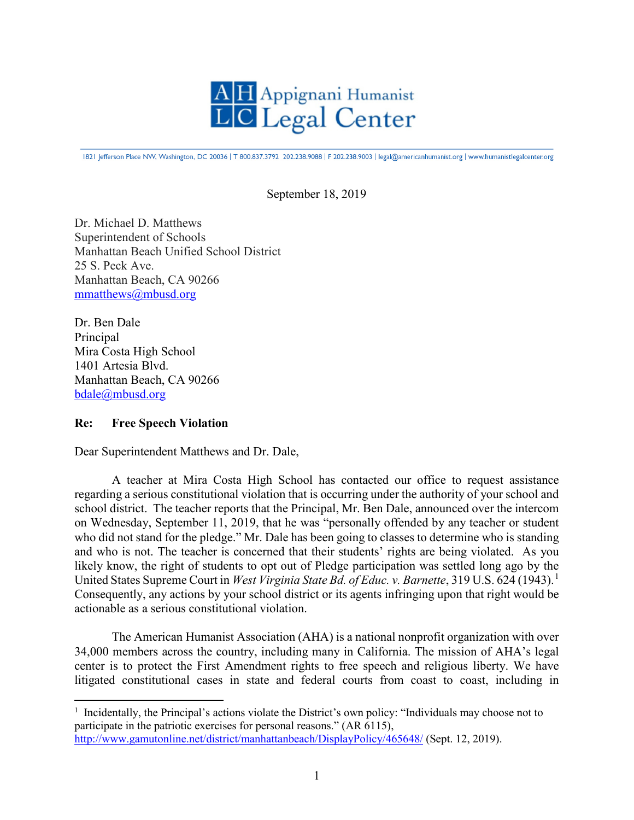

1821 Jefferson Place NW, Washington, DC 20036 | T 800.837.3792 202.238.9088 | F 202.238.9003 | legal@americanhumanist.org | www.humanistlegalcenter.org

September 18, 2019

Dr. Michael D. Matthews Superintendent of Schools Manhattan Beach Unified School District 25 S. Peck Ave. Manhattan Beach, CA 90266 [mmatthews@mbusd.org](mailto:mmatthews@mbusd.org)

Dr. Ben Dale Principal Mira Costa High School 1401 Artesia Blvd. Manhattan Beach, CA 90266 [bdale@mbusd.org](mailto:bdale@mbusd.org)

## **Re: Free Speech Violation**

 $\overline{a}$ 

Dear Superintendent Matthews and Dr. Dale,

A teacher at Mira Costa High School has contacted our office to request assistance regarding a serious constitutional violation that is occurring under the authority of your school and school district. The teacher reports that the Principal, Mr. Ben Dale, announced over the intercom on Wednesday, September 11, 2019, that he was "personally offended by any teacher or student who did not stand for the pledge." Mr. Dale has been going to classes to determine who is standing and who is not. The teacher is concerned that their students' rights are being violated. As you likely know, the right of students to opt out of Pledge participation was settled long ago by the United States Supreme Court in *West Virginia State Bd. of Educ. v. Barnette*, 319 U.S. 624 (1943). [1](#page-0-0) Consequently, any actions by your school district or its agents infringing upon that right would be actionable as a serious constitutional violation.

The American Humanist Association (AHA) is a national nonprofit organization with over 34,000 members across the country, including many in California. The mission of AHA's legal center is to protect the First Amendment rights to free speech and religious liberty. We have litigated constitutional cases in state and federal courts from coast to coast, including in

<span id="page-0-0"></span><sup>&</sup>lt;sup>1</sup> Incidentally, the Principal's actions violate the District's own policy: "Individuals may choose not to participate in the patriotic exercises for personal reasons." (AR 6115), <http://www.gamutonline.net/district/manhattanbeach/DisplayPolicy/465648/> (Sept. 12, 2019).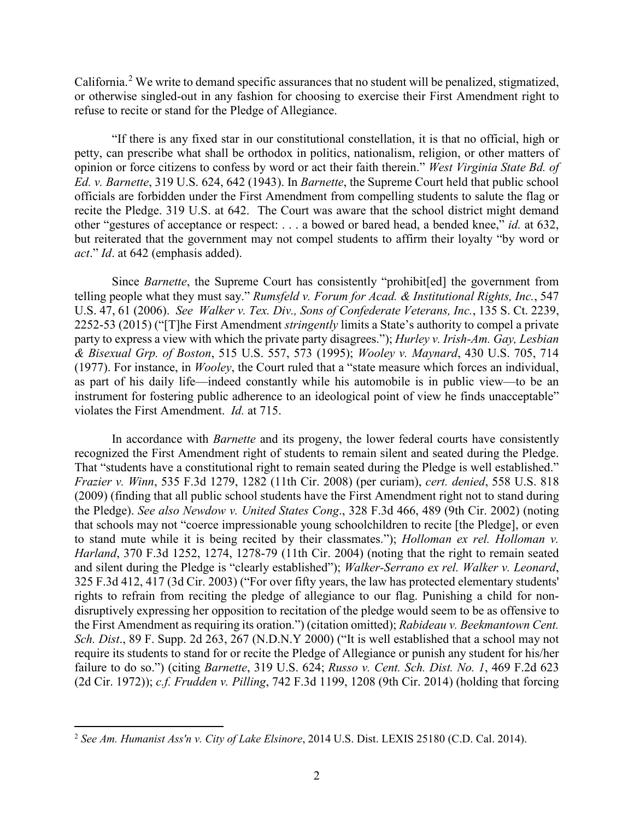California.<sup>[2](#page-1-0)</sup> We write to demand specific assurances that no student will be penalized, stigmatized, or otherwise singled-out in any fashion for choosing to exercise their First Amendment right to refuse to recite or stand for the Pledge of Allegiance.

"If there is any fixed star in our constitutional constellation, it is that no official, high or petty, can prescribe what shall be orthodox in politics, nationalism, religion, or other matters of opinion or force citizens to confess by word or act their faith therein." *West Virginia State Bd. of Ed. v. Barnette*, 319 U.S. 624, 642 (1943). In *Barnette*, the Supreme Court held that public school officials are forbidden under the First Amendment from compelling students to salute the flag or recite the Pledge. 319 U.S. at 642. The Court was aware that the school district might demand other "gestures of acceptance or respect: . . . a bowed or bared head, a bended knee," *id.* at 632, but reiterated that the government may not compel students to affirm their loyalty "by word or *act*." *Id*. at 642 (emphasis added).

Since *Barnette*, the Supreme Court has consistently "prohibit[ed] the government from telling people what they must say." *Rumsfeld v. Forum for Acad. & Institutional Rights, Inc.*, 547 U.S. 47, 61 (2006). *See Walker v. Tex. Div., Sons of Confederate Veterans, Inc.*, 135 S. Ct. 2239, 2252-53 (2015) ("[T]he First Amendment *stringently* limits a State's authority to compel a private party to express a view with which the private party disagrees."); *Hurley v. Irish-Am. Gay, Lesbian & Bisexual Grp. of Boston*, 515 U.S. 557, 573 (1995); *Wooley v. Maynard*, 430 U.S. 705, 714 (1977). For instance, in *Wooley*, the Court ruled that a "state measure which forces an individual, as part of his daily life—indeed constantly while his automobile is in public view—to be an instrument for fostering public adherence to an ideological point of view he finds unacceptable" violates the First Amendment. *Id.* at 715.

In accordance with *Barnette* and its progeny, the lower federal courts have consistently recognized the First Amendment right of students to remain silent and seated during the Pledge. That "students have a constitutional right to remain seated during the Pledge is well established." *Frazier v. Winn*, 535 F.3d 1279, 1282 (11th Cir. 2008) (per curiam), *cert. denied*, 558 U.S. 818 (2009) (finding that all public school students have the First Amendment right not to stand during the Pledge). *See also Newdow v. United States Cong*., 328 F.3d 466, 489 (9th Cir. 2002) (noting that schools may not "coerce impressionable young schoolchildren to recite [the Pledge], or even to stand mute while it is being recited by their classmates."); *Holloman ex rel. Holloman v. Harland*, 370 F.3d 1252, 1274, 1278-79 (11th Cir. 2004) (noting that the right to remain seated and silent during the Pledge is "clearly established"); *Walker-Serrano ex rel. Walker v. Leonard*, 325 F.3d 412, 417 (3d Cir. 2003) ("For over fifty years, the law has protected elementary students' rights to refrain from reciting the pledge of allegiance to our flag. Punishing a child for nondisruptively expressing her opposition to recitation of the pledge would seem to be as offensive to the First Amendment as requiring its oration.") (citation omitted); *Rabideau v. Beekmantown Cent. Sch. Dist*., 89 F. Supp. 2d 263, 267 (N.D.N.Y 2000) ("It is well established that a school may not require its students to stand for or recite the Pledge of Allegiance or punish any student for his/her failure to do so.") (citing *Barnette*, 319 U.S. 624; *Russo v. Cent. Sch. Dist. No. 1*, 469 F.2d 623 (2d Cir. 1972)); *c.f. Frudden v. Pilling*, 742 F.3d 1199, 1208 (9th Cir. 2014) (holding that forcing

<span id="page-1-0"></span> $\overline{a}$ <sup>2</sup> *See Am. Humanist Ass'n v. City of Lake Elsinore*, 2014 U.S. Dist. LEXIS 25180 (C.D. Cal. 2014).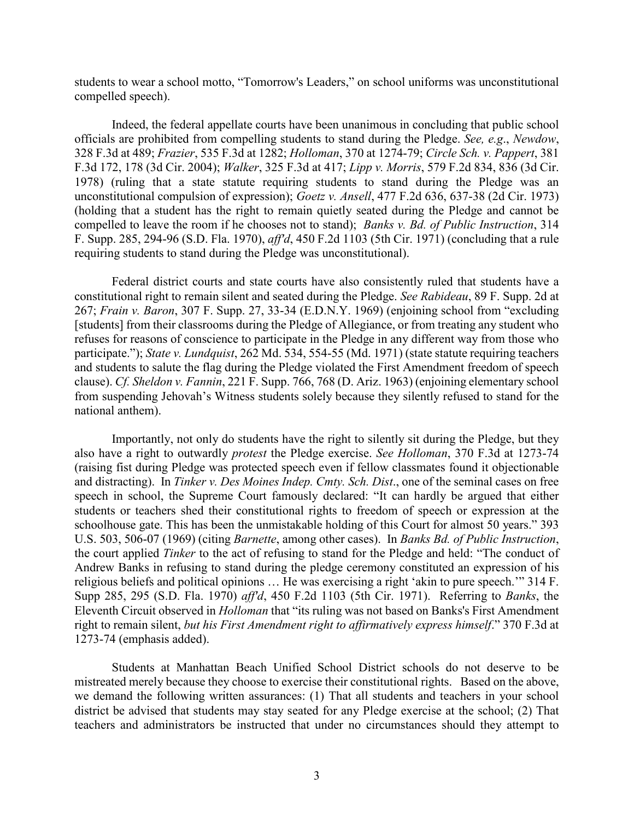students to wear a school motto, "Tomorrow's Leaders," on school uniforms was unconstitutional compelled speech).

Indeed, the federal appellate courts have been unanimous in concluding that public school officials are prohibited from compelling students to stand during the Pledge. *See, e.g*., *Newdow*, 328 F.3d at 489; *Frazier*, 535 F.3d at 1282; *Holloman*, 370 at 1274-79; *Circle Sch. v. Pappert*, 381 F.3d 172, 178 (3d Cir. 2004); *Walker*, 325 F.3d at 417; *Lipp v. Morris*, 579 F.2d 834, 836 (3d Cir. 1978) (ruling that a state statute requiring students to stand during the Pledge was an unconstitutional compulsion of expression); *Goetz v. Ansell*, 477 F.2d 636, 637-38 (2d Cir. 1973) (holding that a student has the right to remain quietly seated during the Pledge and cannot be compelled to leave the room if he chooses not to stand); *Banks v. Bd. of Public Instruction*, 314 F. Supp. 285, 294-96 (S.D. Fla. 1970), *aff'd*, 450 F.2d 1103 (5th Cir. 1971) (concluding that a rule requiring students to stand during the Pledge was unconstitutional).

Federal district courts and state courts have also consistently ruled that students have a constitutional right to remain silent and seated during the Pledge. *See Rabideau*, 89 F. Supp. 2d at 267; *Frain v. Baron*, 307 F. Supp. 27, 33-34 (E.D.N.Y. 1969) (enjoining school from "excluding [students] from their classrooms during the Pledge of Allegiance, or from treating any student who refuses for reasons of conscience to participate in the Pledge in any different way from those who participate."); *State v. Lundquist*, 262 Md. 534, 554-55 (Md. 1971) (state statute requiring teachers and students to salute the flag during the Pledge violated the First Amendment freedom of speech clause). *Cf. Sheldon v. Fannin*, 221 F. Supp. 766, 768 (D. Ariz. 1963) (enjoining elementary school from suspending Jehovah's Witness students solely because they silently refused to stand for the national anthem).

Importantly, not only do students have the right to silently sit during the Pledge, but they also have a right to outwardly *protest* the Pledge exercise. *See Holloman*, 370 F.3d at 1273-74 (raising fist during Pledge was protected speech even if fellow classmates found it objectionable and distracting). In *Tinker v. Des Moines Indep. Cmty. Sch. Dist*., one of the seminal cases on free speech in school, the Supreme Court famously declared: "It can hardly be argued that either students or teachers shed their constitutional rights to freedom of speech or expression at the schoolhouse gate. This has been the unmistakable holding of this Court for almost 50 years." 393 U.S. 503, 506-07 (1969) (citing *Barnette*, among other cases). In *Banks Bd. of Public Instruction*, the court applied *Tinker* to the act of refusing to stand for the Pledge and held: "The conduct of Andrew Banks in refusing to stand during the pledge ceremony constituted an expression of his religious beliefs and political opinions … He was exercising a right 'akin to pure speech.'" 314 F. Supp 285, 295 (S.D. Fla. 1970) *aff'd*, 450 F.2d 1103 (5th Cir. 1971). Referring to *Banks*, the Eleventh Circuit observed in *Holloman* that "its ruling was not based on Banks's First Amendment right to remain silent, *but his First Amendment right to affirmatively express himself*." 370 F.3d at 1273-74 (emphasis added).

Students at Manhattan Beach Unified School District schools do not deserve to be mistreated merely because they choose to exercise their constitutional rights. Based on the above, we demand the following written assurances: (1) That all students and teachers in your school district be advised that students may stay seated for any Pledge exercise at the school; (2) That teachers and administrators be instructed that under no circumstances should they attempt to